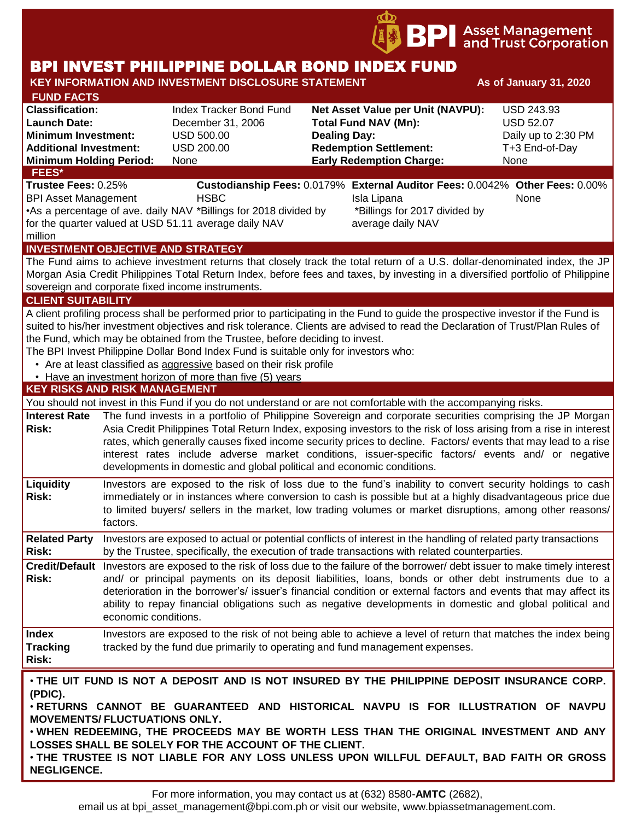

# BPI INVEST PHILIPPINE DOLLAR BOND INDEX FUND

#### **KEY INFORMATION AND INVESTMENT DISCLOSURE STATEMENT And As of January 31, 2020 FUND FACTS Classification:** Index Tracker Bond Fund **Net Asset Value per Unit (NAVPU):** USD 243.93 **Launch Date:** December 31, 2006 **Total Fund NAV (Mn):** USD 52.07 **Minimum Investment:** USD 500.00 **Dealing Day:** Daily up to 2:30 PM **Additional Investment:** USD 200.00 **Redemption Settlement:** T+3 End-of-Day **Minimum Holding Period:** None **Early Redemption Charge:** None **KEY RISKS AND RISK MANAGEMENT**  You should not invest in this Fund if you do not understand or are not comfortable with the accompanying risks. **Interest Rate Risk:** The fund invests in a portfolio of Philippine Sovereign and corporate securities comprising the JP Morgan Asia Credit Philippines Total Return Index, exposing investors to the risk of loss arising from a rise in interest rates, which generally causes fixed income security prices to decline. Factors/ events that may lead to a rise interest rates include adverse market conditions, issuer-specific factors/ events and/ or negative developments in domestic and global political and economic conditions. **Liquidity Risk:** Investors are exposed to the risk of loss due to the fund's inability to convert security holdings to cash immediately or in instances where conversion to cash is possible but at a highly disadvantageous price due to limited buyers/ sellers in the market, low trading volumes or market disruptions, among other reasons/ factors. **Related Party**  Investors are exposed to actual or potential conflicts of interest in the handling of related party transactions **Risk:** by the Trustee, specifically, the execution of trade transactions with related counterparties. **Credit/Default**  Investors are exposed to the risk of loss due to the failure of the borrower/ debt issuer to make timely interest **Risk:** and/ or principal payments on its deposit liabilities, loans, bonds or other debt instruments due to a deterioration in the borrower's/ issuer's financial condition or external factors and events that may affect its ability to repay financial obligations such as negative developments in domestic and global political and economic conditions. **Index Tracking Risk:** Investors are exposed to the risk of not being able to achieve a level of return that matches the index being tracked by the fund due primarily to operating and fund management expenses. **INVESTMENT OBJECTIVE AND STRATEGY** The Fund aims to achieve investment returns that closely track the total return of a U.S. dollar-denominated index, the JP Morgan Asia Credit Philippines Total Return Index, before fees and taxes, by investing in a diversified portfolio of Philippine sovereign and corporate fixed income instruments. **CLIENT SUITABILITY** A client profiling process shall be performed prior to participating in the Fund to guide the prospective investor if the Fund is suited to his/her investment objectives and risk tolerance. Clients are advised to read the Declaration of Trust/Plan Rules of the Fund, which may be obtained from the Trustee, before deciding to invest. The BPI Invest Philippine Dollar Bond Index Fund is suitable only for investors who: • Are at least classified as aggressive based on their risk profile • Have an investment horizon of more than five (5) years • **THE UIT FUND IS NOT A DEPOSIT AND IS NOT INSURED BY THE PHILIPPINE DEPOSIT INSURANCE CORP. (PDIC).** • **RETURNS CANNOT BE GUARANTEED AND HISTORICAL NAVPU IS FOR ILLUSTRATION OF NAVPU MOVEMENTS/ FLUCTUATIONS ONLY.** • **WHEN REDEEMING, THE PROCEEDS MAY BE WORTH LESS THAN THE ORIGINAL INVESTMENT AND ANY LOSSES SHALL BE SOLELY FOR THE ACCOUNT OF THE CLIENT.** • **THE TRUSTEE IS NOT LIABLE FOR ANY LOSS UNLESS UPON WILLFUL DEFAULT, BAD FAITH OR GROSS FEES\* Trustee Fees:** 0.25% **Custodianship Fees:** 0.0179% **External Auditor Fees:** 0.0042% **Other Fees:** 0.00% BPI Asset Management **HSBC Isla Lipana** Isla Lipana None •As a percentage of ave. daily NAV \*Billings for 2018 divided by for the quarter valued at USD 51.11 average daily NAV million \*Billings for 2017 divided by average daily NAV

**NEGLIGENCE.**

email us at bpi\_asset\_management@bpi.com.ph or visit our website, www.bpiassetmanagement.com.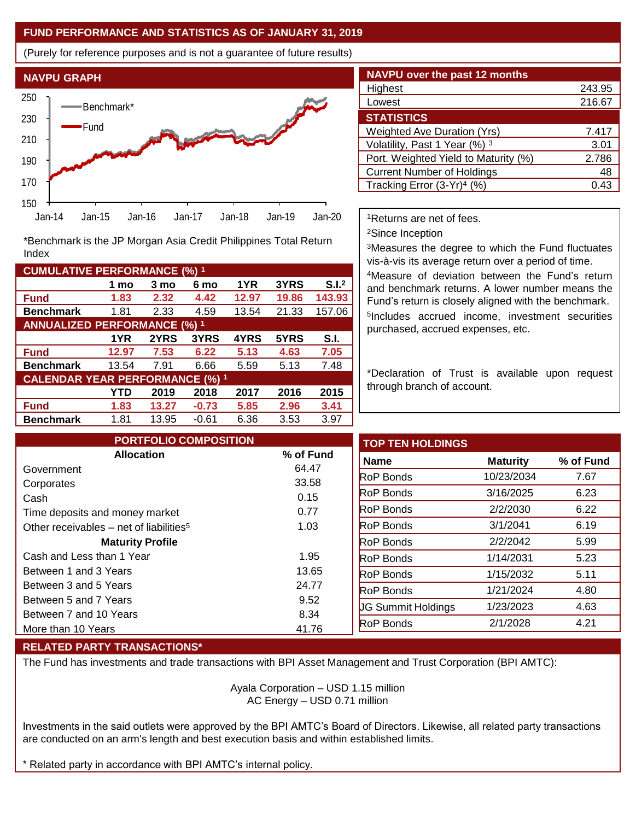### **FUND PERFORMANCE AND STATISTICS AS OF JANUARY 31, 2019**

(Purely for reference purposes and is not a guarantee of future results)



**Fund 1.83 2.32 4.42 12.97 19.86 143.93 Benchmark** 1.81 2.33 4.59 13.54 21.33 157.06

\*Benchmark is the JP Morgan Asia Credit Philippines Total Return

**Fund 12.97 7.53 6.22 5.13 4.63 7.05 Benchmark** 13.54 7.91 6.66 5.59 5.13 7.48

**Fund 1.83 13.27 -0.73 5.85 2.96 3.41 Benchmark** 1.81 13.95 -0.61 6.36 3.53 3.97

**1 mo 3 mo 6 mo 1YR 3YRS S.I.<sup>2</sup>**

**1YR 2YRS 3YRS 4YRS 5YRS S.I.**

**YTD 2019 2018 2017 2016 2015**

| <b>NAVPU over the past 12 months</b>   |        |
|----------------------------------------|--------|
| Highest                                | 243.95 |
| Lowest                                 | 216.67 |
| <b>STATISTICS</b>                      |        |
| <b>Weighted Ave Duration (Yrs)</b>     | 7.417  |
| Volatility, Past 1 Year (%) 3          | 3.01   |
| Port. Weighted Yield to Maturity (%)   | 2.786  |
| <b>Current Number of Holdings</b>      | 48     |
| Tracking Error (3-Yr) <sup>4</sup> (%) | 0.43   |

<sup>1</sup>Returns are net of fees.

<sup>2</sup>Since Inception

<sup>3</sup>Measures the degree to which the Fund fluctuates vis-à-vis its average return over a period of time.

<sup>4</sup>Measure of deviation between the Fund's return and benchmark returns. A lower number means the Fund's return is closely aligned with the benchmark. 5 Includes accrued income, investment securities purchased, accrued expenses, etc.

\*Declaration of Trust is available upon request through branch of account.

| <b>PORTFOLIO COMPOSITION</b>                        |           | <b>TOP TEN HOLDINGS</b>   |                 |           |
|-----------------------------------------------------|-----------|---------------------------|-----------------|-----------|
| <b>Allocation</b>                                   | % of Fund | <b>Name</b>               | <b>Maturity</b> | % of Fund |
| Government                                          | 64.47     | <b>RoP Bonds</b>          | 10/23/2034      | 7.67      |
| Corporates                                          | 33.58     |                           |                 |           |
| Cash                                                | 0.15      | <b>RoP Bonds</b>          | 3/16/2025       | 6.23      |
| Time deposits and money market                      | 0.77      | <b>RoP Bonds</b>          | 2/2/2030        | 6.22      |
| Other receivables – net of liabilities <sup>5</sup> | 1.03      | <b>RoP</b> Bonds          | 3/1/2041        | 6.19      |
| <b>Maturity Profile</b>                             |           | <b>RoP Bonds</b>          | 2/2/2042        | 5.99      |
| Cash and Less than 1 Year                           | 1.95      | <b>RoP</b> Bonds          | 1/14/2031       | 5.23      |
| Between 1 and 3 Years                               | 13.65     | <b>RoP Bonds</b>          | 1/15/2032       | 5.11      |
| Between 3 and 5 Years                               | 24.77     | <b>RoP</b> Bonds          | 1/21/2024       | 4.80      |
| Between 5 and 7 Years                               | 9.52      | <b>UG Summit Holdings</b> | 1/23/2023       | 4.63      |
| Between 7 and 10 Years                              | 8.34      |                           |                 |           |
| More than 10 Years                                  | 41.76     | RoP Bonds                 | 2/1/2028        | 4.21      |

## **RELATED PARTY TRANSACTIONS\***

**CUMULATIVE PERFORMANCE (%) <sup>1</sup>**

Index

**ANNUALIZED PERFORMANCE (%) <sup>1</sup>**

**CALENDAR YEAR PERFORMANCE (%) <sup>1</sup>**

The Fund has investments and trade transactions with BPI Asset Management and Trust Corporation (BPI AMTC):

Ayala Corporation – USD 1.15 million AC Energy – USD 0.71 million

Investments in the said outlets were approved by the BPI AMTC's Board of Directors. Likewise, all related party transactions are conducted on an arm's length and best execution basis and within established limits.

Related party in accordance with BPI AMTC's internal policy.